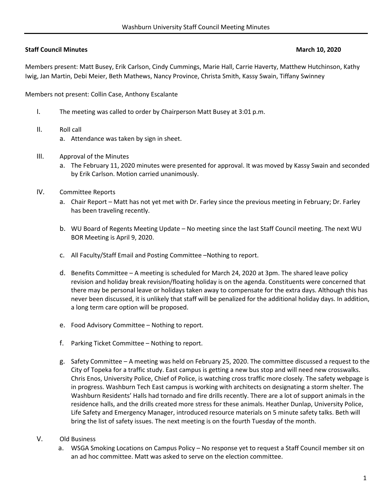## **Staff Council Minutes March 10, 2020**

Members present: Matt Busey, Erik Carlson, Cindy Cummings, Marie Hall, Carrie Haverty, Matthew Hutchinson, Kathy Iwig, Jan Martin, Debi Meier, Beth Mathews, Nancy Province, Christa Smith, Kassy Swain, Tiffany Swinney

Members not present: Collin Case, Anthony Escalante

- I. The meeting was called to order by Chairperson Matt Busey at 3:01 p.m.
- II. Roll call
	- a. Attendance was taken by sign in sheet.
- III. Approval of the Minutes
	- a. The February 11, 2020 minutes were presented for approval. It was moved by Kassy Swain and seconded by Erik Carlson. Motion carried unanimously.
- IV. Committee Reports
	- a. Chair Report Matt has not yet met with Dr. Farley since the previous meeting in February; Dr. Farley has been traveling recently.
	- b. WU Board of Regents Meeting Update No meeting since the last Staff Council meeting. The next WU BOR Meeting is April 9, 2020.
	- c. All Faculty/Staff Email and Posting Committee –Nothing to report.
	- d. Benefits Committee A meeting is scheduled for March 24, 2020 at 3pm. The shared leave policy revision and holiday break revision/floating holiday is on the agenda. Constituents were concerned that there may be personal leave or holidays taken away to compensate for the extra days. Although this has never been discussed, it is unlikely that staff will be penalized for the additional holiday days. In addition, a long term care option will be proposed.
	- e. Food Advisory Committee Nothing to report.
	- f. Parking Ticket Committee Nothing to report.
	- g. Safety Committee A meeting was held on February 25, 2020. The committee discussed a request to the City of Topeka for a traffic study. East campus is getting a new bus stop and will need new crosswalks. Chris Enos, University Police, Chief of Police, is watching cross traffic more closely. The safety webpage is in progress. Washburn Tech East campus is working with architects on designating a storm shelter. The Washburn Residents' Halls had tornado and fire drills recently. There are a lot of support animals in the residence halls, and the drills created more stress for these animals. Heather Dunlap, University Police, Life Safety and Emergency Manager, introduced resource materials on 5 minute safety talks. Beth will bring the list of safety issues. The next meeting is on the fourth Tuesday of the month.
- V. Old Business
	- a. WSGA Smoking Locations on Campus Policy No response yet to request a Staff Council member sit on an ad hoc committee. Matt was asked to serve on the election committee.